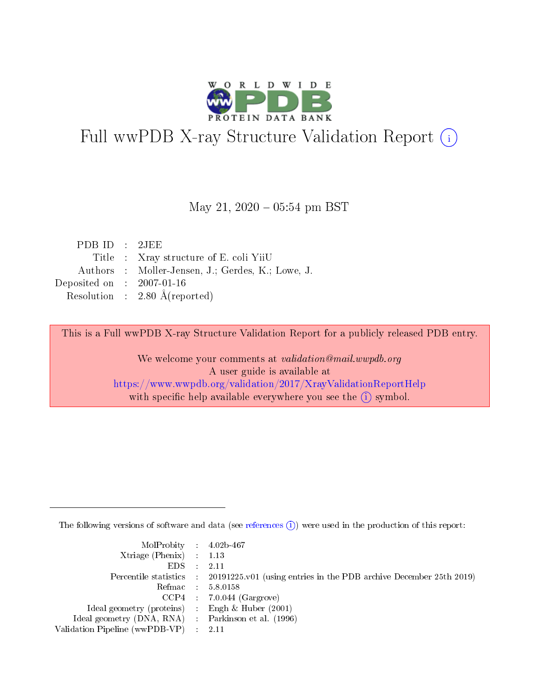

# Full wwPDB X-ray Structure Validation Report (i)

#### May 21,  $2020 - 05:54$  pm BST

| PDBID : 2JEE                |                                                   |
|-----------------------------|---------------------------------------------------|
|                             | Title : Xray structure of E. coli YiiU            |
|                             | Authors : Moller-Jensen, J.; Gerdes, K.; Lowe, J. |
| Deposited on : $2007-01-16$ |                                                   |
|                             | Resolution : $2.80 \text{ Å}$ (reported)          |

This is a Full wwPDB X-ray Structure Validation Report for a publicly released PDB entry.

We welcome your comments at validation@mail.wwpdb.org A user guide is available at <https://www.wwpdb.org/validation/2017/XrayValidationReportHelp> with specific help available everywhere you see the  $(i)$  symbol.

The following versions of software and data (see [references](https://www.wwpdb.org/validation/2017/XrayValidationReportHelp#references)  $(i)$ ) were used in the production of this report:

| $MolProbability$ 4.02b-467                          |                                                                                            |
|-----------------------------------------------------|--------------------------------------------------------------------------------------------|
| $Xtriangle (Phenix)$ : 1.13                         |                                                                                            |
| $EDS$ :                                             | 2.11                                                                                       |
|                                                     | Percentile statistics : 20191225.v01 (using entries in the PDB archive December 25th 2019) |
|                                                     | Refmac : 5.8.0158                                                                          |
| CCP4                                                | $7.0.044$ (Gargrove)                                                                       |
| Ideal geometry (proteins) :                         | Engh $\&$ Huber (2001)                                                                     |
| Ideal geometry (DNA, RNA) : Parkinson et al. (1996) |                                                                                            |
| Validation Pipeline (wwPDB-VP)                      | -2.11                                                                                      |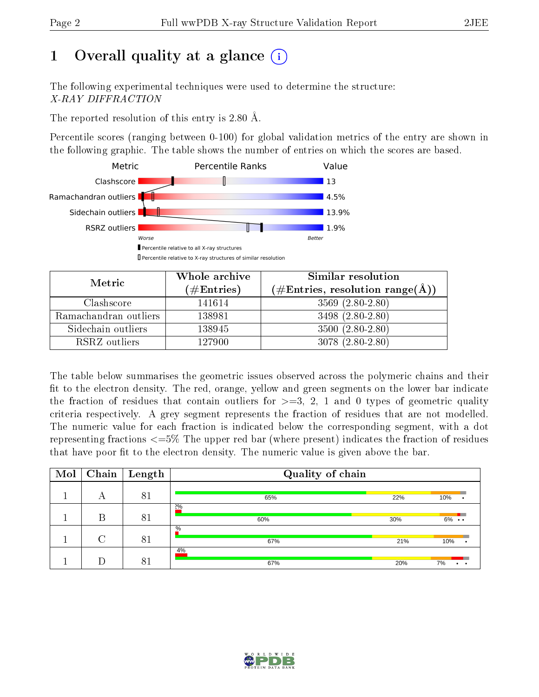# 1 [O](https://www.wwpdb.org/validation/2017/XrayValidationReportHelp#overall_quality)verall quality at a glance  $(i)$

The following experimental techniques were used to determine the structure: X-RAY DIFFRACTION

The reported resolution of this entry is 2.80 Å.

Percentile scores (ranging between 0-100) for global validation metrics of the entry are shown in the following graphic. The table shows the number of entries on which the scores are based.



| Metric                | Whole archive<br>$(\#\mathrm{Entries})$ | Similar resolution<br>$(\#\text{Entries}, \text{resolution range}(\text{\AA}))$ |
|-----------------------|-----------------------------------------|---------------------------------------------------------------------------------|
| Clashscore            | 141614                                  | $3569(2.80-2.80)$                                                               |
| Ramachandran outliers | 138981                                  | $3498(2.80-2.80)$                                                               |
| Sidechain outliers    | 138945                                  | $3500(2.80-2.80)$                                                               |
| RSRZ outliers         | 127900                                  | $3078(2.80-2.80)$                                                               |

The table below summarises the geometric issues observed across the polymeric chains and their fit to the electron density. The red, orange, yellow and green segments on the lower bar indicate the fraction of residues that contain outliers for  $\geq=3$ , 2, 1 and 0 types of geometric quality criteria respectively. A grey segment represents the fraction of residues that are not modelled. The numeric value for each fraction is indicated below the corresponding segment, with a dot representing fractions <=5% The upper red bar (where present) indicates the fraction of residues that have poor fit to the electron density. The numeric value is given above the bar.

| Mol |        | $\fbox{Chain}$ Length | Quality of chain |     |                   |
|-----|--------|-----------------------|------------------|-----|-------------------|
|     | А      | 81                    | 65%              | 22% | 10%               |
|     | B      | 81                    | 2%<br>60%        | 30% | $6\% \cdot \cdot$ |
|     | $\cap$ |                       | $\%$<br>67%      | 21% | 10%               |
|     |        | 81                    | 4%<br>67%        | 20% | 7%                |

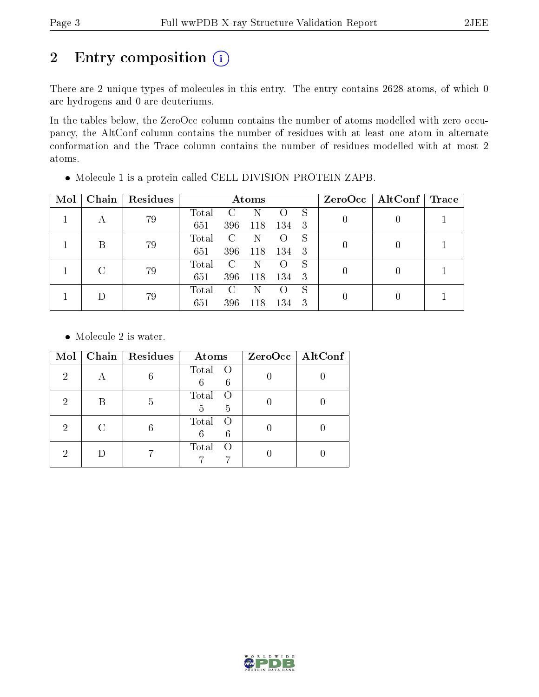# 2 Entry composition (i)

There are 2 unique types of molecules in this entry. The entry contains 2628 atoms, of which 0 are hydrogens and 0 are deuteriums.

In the tables below, the ZeroOcc column contains the number of atoms modelled with zero occupancy, the AltConf column contains the number of residues with at least one atom in alternate conformation and the Trace column contains the number of residues modelled with at most 2 atoms.

| Mol | Chain | Residues | Atoms |               |     |                    |   | $ZeroOcc \   \$ AltConf | Trace |
|-----|-------|----------|-------|---------------|-----|--------------------|---|-------------------------|-------|
|     |       | 79       | Total |               |     |                    | S |                         |       |
|     | А     |          | 651   | 396           | 118 | 134                | 3 |                         |       |
|     | В     | 79       | Total | C             | N   | $\left( \ \right)$ | S |                         |       |
|     |       |          | 651   | 396           | 118 | 134                | 3 |                         |       |
|     |       |          | Total | $\mathcal{C}$ | N   | $\left( \ \right)$ | S |                         |       |
|     | 79    | 651      | 396   | 118           | 134 | -3                 |   |                         |       |
|     |       |          | Total | C             | N   | $\left( \ \right)$ | S |                         |       |
|     | 79    | 651      | 396   | 118           | 134 | 3                  |   |                         |       |

Molecule 1 is a protein called CELL DIVISION PROTEIN ZAPB.

• Molecule 2 is water.

| Mol | Chain Residues | Atoms                     | ZeroOcc   AltConf |
|-----|----------------|---------------------------|-------------------|
| 2   |                | Total O<br>6<br>6         |                   |
| 2   | 5              | Total O<br>5<br>5         |                   |
| 2   |                | Total O<br>6              |                   |
| ٠,  |                | Total<br>$\left( \right)$ |                   |

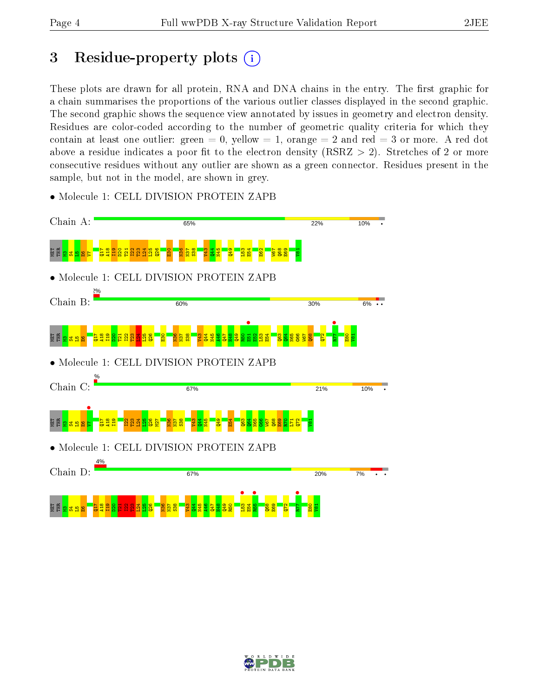# 3 Residue-property plots  $(i)$

These plots are drawn for all protein, RNA and DNA chains in the entry. The first graphic for a chain summarises the proportions of the various outlier classes displayed in the second graphic. The second graphic shows the sequence view annotated by issues in geometry and electron density. Residues are color-coded according to the number of geometric quality criteria for which they contain at least one outlier: green  $= 0$ , yellow  $= 1$ , orange  $= 2$  and red  $= 3$  or more. A red dot above a residue indicates a poor fit to the electron density (RSRZ  $> 2$ ). Stretches of 2 or more consecutive residues without any outlier are shown as a green connector. Residues present in the sample, but not in the model, are shown in grey.



• Molecule 1: CELL DIVISION PROTEIN ZAPB

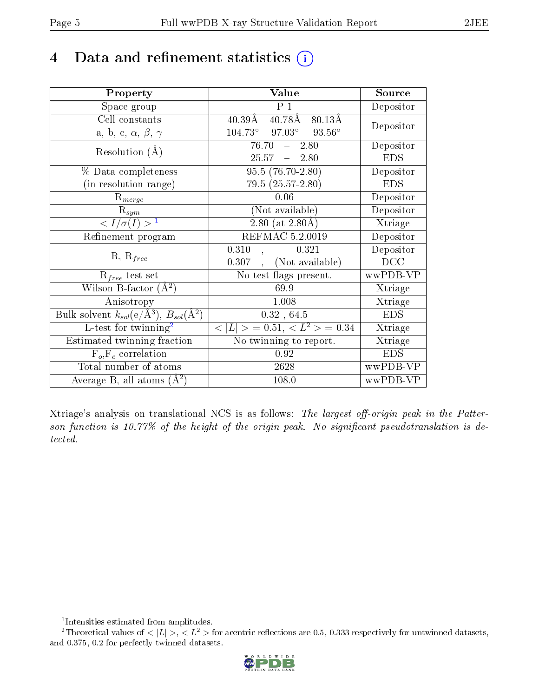# 4 Data and refinement statistics  $(i)$

| Property                                                             | Value                                             | Source     |
|----------------------------------------------------------------------|---------------------------------------------------|------------|
| Space group                                                          | P <sub>1</sub>                                    | Depositor  |
| Cell constants                                                       | $40.78\text{\AA}$<br>80.13Å<br>$40.39\text{\AA}$  | Depositor  |
| a, b, c, $\alpha$ , $\beta$ , $\gamma$                               | $97.03^{\circ}$ $93.56^{\circ}$<br>$104.73^\circ$ |            |
| Resolution $(A)$                                                     | 76.70<br>2.80<br>$\frac{1}{2}$                    | Depositor  |
|                                                                      | $25.57 - 2.80$                                    | <b>EDS</b> |
| % Data completeness                                                  | $95.5(76.70-2.80)$                                | Depositor  |
| (in resolution range)                                                | $79.5(25.57-2.80)$                                | <b>EDS</b> |
| $R_{merge}$                                                          | 0.06                                              | Depositor  |
| $\mathbf{R}_{sym}$                                                   | (Not available)                                   | Depositor  |
| $\langle I/\sigma(I) \rangle^{-1}$                                   | 2.80 (at $2.80\text{\AA}$ )                       | Xtriage    |
| Refinement program                                                   | REFMAC 5.2.0019                                   | Depositor  |
| $R, R_{free}$                                                        | 0.310<br>0.321                                    | Depositor  |
|                                                                      | (Not available)<br>0.307                          | DCC        |
| $R_{free}$ test set                                                  | No test flags present.                            | wwPDB-VP   |
| Wilson B-factor $(A^2)$                                              | 69.9                                              | Xtriage    |
| Anisotropy                                                           | 1.008                                             | Xtriage    |
| Bulk solvent $k_{sol}(e/\mathring{A}^3)$ , $B_{sol}(\mathring{A}^2)$ | 0.32, 64.5                                        | <b>EDS</b> |
| L-test for $\text{twinning}^2$                                       | $< L >$ = 0.51, $< L^2 >$ = 0.34                  | Xtriage    |
| Estimated twinning fraction                                          | No twinning to report.                            | Xtriage    |
| $F_o, F_c$ correlation                                               | 0.92                                              | <b>EDS</b> |
| Total number of atoms                                                | 2628                                              | wwPDB-VP   |
| Average B, all atoms $(A^2)$                                         | 108.0                                             | wwPDB-VP   |

Xtriage's analysis on translational NCS is as follows: The largest off-origin peak in the Patterson function is 10.77% of the height of the origin peak. No significant pseudotranslation is detected.

<sup>&</sup>lt;sup>2</sup>Theoretical values of  $\langle |L| \rangle$ ,  $\langle L^2 \rangle$  for acentric reflections are 0.5, 0.333 respectively for untwinned datasets, and 0.375, 0.2 for perfectly twinned datasets.



<span id="page-4-1"></span><span id="page-4-0"></span><sup>1</sup> Intensities estimated from amplitudes.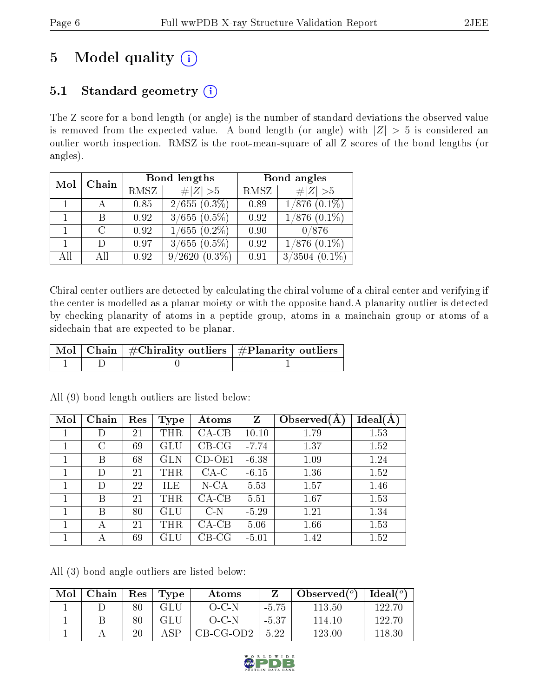# 5 Model quality  $(i)$

## 5.1 Standard geometry  $(i)$

The Z score for a bond length (or angle) is the number of standard deviations the observed value is removed from the expected value. A bond length (or angle) with  $|Z| > 5$  is considered an outlier worth inspection. RMSZ is the root-mean-square of all Z scores of the bond lengths (or angles).

| Chain<br>Mol |        |      | Bond lengths           | Bond angles |                           |  |
|--------------|--------|------|------------------------|-------------|---------------------------|--|
|              |        | RMSZ | $\# Z >5$              | RMSZ        | $\# Z  > 5$               |  |
|              | - A -  | 0.85 | $\sqrt{2/655 (0.3\%)}$ | 0.89        | $1/876$ $(0.1\%)$         |  |
|              |        | 0.92 | $3/655(0.5\%)$         | 0.92        | $\overline{1/8}76$ (0.1%) |  |
|              | $\cap$ | 0.92 | $1/655(0.2\%)$         | 0.90        | 0/876                     |  |
|              | $\Box$ | 0.97 | $3/655(0.5\%)$         | 0.92        | $1/876$ $(0.1\%)$         |  |
| AII          | АĦ     | 0.92 | $9/2620(0.3\%)$        | 0.91        | $3/3504$ $(0.1\%)$        |  |

Chiral center outliers are detected by calculating the chiral volume of a chiral center and verifying if the center is modelled as a planar moiety or with the opposite hand.A planarity outlier is detected by checking planarity of atoms in a peptide group, atoms in a mainchain group or atoms of a sidechain that are expected to be planar.

|  | $\mid$ Mol $\mid$ Chain $\mid$ #Chirality outliers $\mid$ #Planarity outliers |
|--|-------------------------------------------------------------------------------|
|  |                                                                               |

| Mol | Chain | Res | Type                 | Atoms   | Z       | Observed $(A$ | Ideal(A) |
|-----|-------|-----|----------------------|---------|---------|---------------|----------|
|     | D     | 21  | THR                  | $CA-CB$ | 10.10   | 1.79          | 1.53     |
|     | С     | 69  | $\operatorname{GLU}$ | $CB-CG$ | $-7.74$ | 1.37          | 1.52     |
|     | В     | 68  | GLN                  | CD-OE1  | $-6.38$ | 1.09          | 1.24     |
|     | D     | 21  | $\rm THR$            | $CA-C$  | $-6.15$ | 1.36          | 1.52     |
|     |       | 22  | ILE                  | $N$ -CA | 5.53    | 1.57          | 1.46     |
|     | B     | 21  | THR                  | $CA-CB$ | 5.51    | 1.67          | 1.53     |
|     | В     | 80  | $\operatorname{GLU}$ | $C-N$   | $-5.29$ | 1.21          | 1.34     |
|     | А     | 21  | THR                  | $CA-CB$ | 5.06    | 1.66          | 1.53     |
|     | А     | 69  | GLU                  | $CB-CG$ | $-5.01$ | 1.42          | 1.52     |

All (9) bond length outliers are listed below:

All (3) bond angle outliers are listed below:

| Mol | ${\rm Chain}$ | Res    | Type      | Atoms     |         | Observed $(°)$ | $Ideal(^o)$ |
|-----|---------------|--------|-----------|-----------|---------|----------------|-------------|
|     |               | 80     | GLU.      | $O-C-N$   | $-5.75$ | 113.50         | 122.70-     |
|     |               | $80\,$ |           | $O-C-N$   | $-5.37$ | $+14.10-$      | 122.70      |
|     |               | 20     | <b>CD</b> | CB-CG-OD2 | 5.22    | 123.00         | 118.36      |

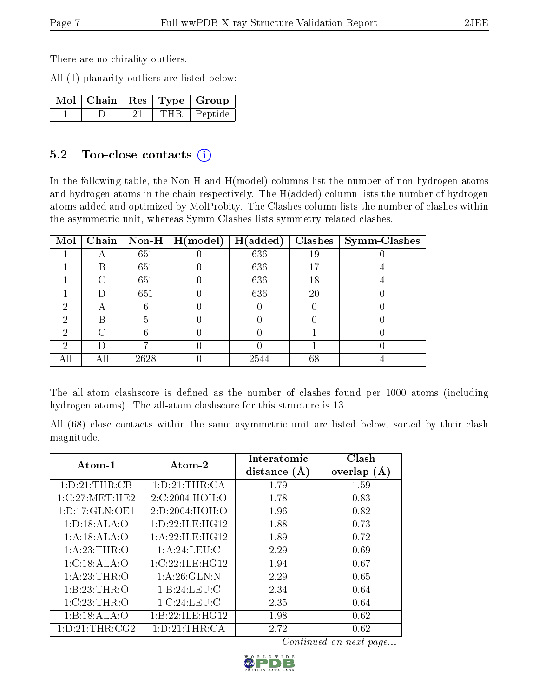There are no chirality outliers.

All (1) planarity outliers are listed below:

|  |  | $\lceil$ MoI $\lceil$ Chain $\lceil$ Res $\lceil$ Type $\lceil$ Group |
|--|--|-----------------------------------------------------------------------|
|  |  | THR Peptide                                                           |

### 5.2 Too-close contacts  $(i)$

In the following table, the Non-H and H(model) columns list the number of non-hydrogen atoms and hydrogen atoms in the chain respectively. The H(added) column lists the number of hydrogen atoms added and optimized by MolProbity. The Clashes column lists the number of clashes within the asymmetric unit, whereas Symm-Clashes lists symmetry related clashes.

| $\bf{Mol}$ | Chain |      | $\boxed{\text{Non-H} \mid \text{H}(\text{model}) \mid \text{H}(\text{added})}$ |      |    | $Clashes$   Symm-Clashes |
|------------|-------|------|--------------------------------------------------------------------------------|------|----|--------------------------|
|            |       | 651  |                                                                                | 636  | 19 |                          |
|            | В     | 651  |                                                                                | 636  | 17 |                          |
|            | ∩     | 651  |                                                                                | 636  | 18 |                          |
|            | Ð     | 651  |                                                                                | 636  | 20 |                          |
| 2          | 宀     |      |                                                                                |      |    |                          |
| റ          | В     |      |                                                                                |      |    |                          |
| 2          | C     |      |                                                                                |      |    |                          |
| 2          | D     |      |                                                                                |      |    |                          |
|            | ΑH    | 2628 |                                                                                | 2544 | 68 |                          |

The all-atom clashscore is defined as the number of clashes found per 1000 atoms (including hydrogen atoms). The all-atom clashscore for this structure is 13.

All (68) close contacts within the same asymmetric unit are listed below, sorted by their clash magnitude.

| Atom-1             | Atom-2             | Interatomic<br>distance $(A)$ | Clash<br>overlap $(A)$ |
|--------------------|--------------------|-------------------------------|------------------------|
| 1: D: 21: THE: CB  | 1: D: 21: THR: CA  | 1.79                          | 1.59                   |
| 1:C:27:MET:HE2     | 2:C:2004:HOH:O     | 1.78                          | 0.83                   |
| 1: D: 17: GLN: OE1 | 2:D:2004:HOH:O     | 1.96                          | 0.82                   |
| 1: D: 18: ALA: O   | 1:D:22:ILE:HG12    | 1.88                          | 0.73                   |
| 1:A:18:ALA:O       | 1: A:22: ILE: HG12 | 1.89                          | 0.72                   |
| 1:A:23:THR:O       | 1:A:24:LEU:C       | 2.29                          | 0.69                   |
| 1:C:18:ALA:O       | 1:C:22:ILE:HG12    | 1.94                          | 0.67                   |
| 1:A:23:THR:O       | 1: A:26: GLN:N     | 2.29                          | 0.65                   |
| 1:B:23:THR:O       | 1:B:24:LEU:C       | 2.34                          | 0.64                   |
| 1:C:23:THR:O       | 1:C:24:LEU:C       | 2.35                          | 0.64                   |
| 1:B:18:ALA:O       | 1:B:22:ILE:HG12    | 1.98                          | 0.62                   |
| 1: D: 21: THR: CG2 | 1: D:21:THR:CA     | 2.72                          | 0.62                   |

Continued on next page...

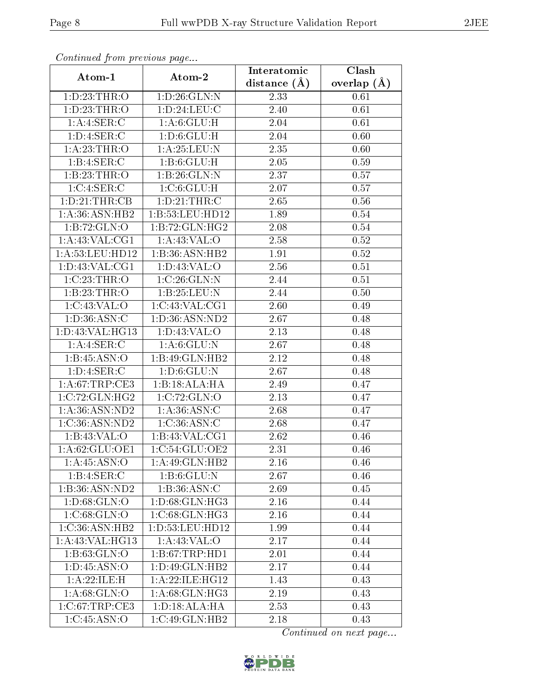| Continuea from previous page |                                    | Interatomic    | Clash         |
|------------------------------|------------------------------------|----------------|---------------|
| Atom-1                       | Atom-2                             | distance $(A)$ | overlap $(A)$ |
| 1: D: 23: THR:O              | 1:D:26:GLN:N                       | 2.33           | 0.61          |
| 1:D:23:THR:O                 | 1:D:24:LEU:C                       | 2.40           | 0.61          |
| 1:A:4:SER:C                  | 1: A:6: GLU: H                     | 2.04           | 0.61          |
| 1: D: 4: SER:C               | 1: D:6: GLU: H                     | 2.04           | 0.60          |
| 1: A:23:THR:O                | 1: A:25:LEU:N                      | 2.35           | 0.60          |
| 1: B: 4: SER: C              | 1: B:6: GLU: H                     | 2.05           | 0.59          |
| 1:B:23:THR:O                 | 1:B:26:GLN:N                       | 2.37           | 0.57          |
| 1:C:4:SER:C                  | 1:C:6:GLU:H                        | 2.07           | 0.57          |
| 1:D:21:THR:CB                | 1: D:21:THR:C                      | 2.65           | $0.56\,$      |
| 1: A:36: ASN: HB2            | 1:B:53:LEU:HD12                    | 1.89           | 0.54          |
| 1:B:72:GLN:O                 | 1:B:72:GLN:HG2                     | 2.08           | 0.54          |
| 1: A:43: VAL:CG1             | 1: A:43: VAL:O                     | 2.58           | 0.52          |
| 1:A:53:LEU:HD12              | 1:B:36:ASN:HB2                     | 1.91           | 0.52          |
| 1: D: 43: VAL: CG1           | 1: D: 43: VAL: O                   | 2.56           | 0.51          |
| 1:C:23:THR:O                 | 1:C:26:GLN:N                       | 2.44           | 0.51          |
| 1:B:23:THR:O                 | 1:B:25:LEU:N                       | 2.44           | 0.50          |
| 1:C:43:VAL:O                 | 1:C:43:VAL:CG1                     | 2.60           | 0.49          |
| 1: D: 36: ASN: C             | 1:D:36:ASN:ND2                     | 2.67           | 0.48          |
| 1:D:43:VAL:HG13              | 1: D: 43: VAL: O                   | 2.13           | 0.48          |
| 1: A:4: SER:C                | 1: A:6: GLU:N                      | 2.67           | 0.48          |
| 1:B:45:ASN:O                 | 1:B:49:GLN:HB2                     | 2.12           | 0.48          |
| 1: D: 4: SER: C              | 1: D:6: GLU: N                     | 2.67           | 0.48          |
| 1: A:67:TRP:CE3              | 1:B:3ALA:HA                        | 2.49           | 0.47          |
| 1:C:72:GLN:HG2               | 1:C:72:GLN:O                       | 2.13           | 0.47          |
| 1:A:36:ASN:ND2               | 1:A:36:ASN:C                       | 2.68           | 0.47          |
| 1:C:36:ASN:ND2               | 1:C:36:ASN:C                       | 2.68           | 0.47          |
| 1:B:43:VAL:O                 | 1:B:43:VAL:CG1                     | 2.62           | 0.46          |
| 1:A:62:GLU:OE1               | 1:C:54:GLU:OE2                     | 2.31           | 0.46          |
| 1: A:45: ASN:O               | 1: A:49: GLN: HB2                  | 2.16           | 0.46          |
| 1:B:4:SER:C                  | 1:B:6:GLU:N                        | 2.67           | 0.46          |
| 1:B:36:ASN:ND2               | 1:B:36:ASN:C                       | 2.69           | 0.45          |
| 1: D:68: GLN:O               | 1:D:68:GLN:HG3                     | $2.16\,$       | 0.44          |
| 1:C:68:GLN:O                 | 1: C:68: GLN: HG3                  | 2.16           | 0.44          |
| 1:C:36:ASN:HB2               | 1:D:53:LEU:HD12                    | 1.99           | 0.44          |
| 1: A:43: VAL:HG13            | 1:A:43:VAL:O                       | 2.17           | 0.44          |
| 1:B:63:GLN:O                 | 1: B:67:TRP:HD1                    | 2.01           | 0.44          |
| 1: D: 45: ASN: O             | 1:D:49:GLN:HB2                     | 2.17           | 0.44          |
| 1:A:22:ILE:H                 | 1:A:22:ILE:HG12                    | 1.43           | 0.43          |
| 1: A:68: GLN:O               | 1:A:68:GLN:HG3                     | 2.19           | 0.43          |
| $1:C:67$ : $TRP:CE3$         | 1: D: 18: ALA: HA                  | 2.53           | 0.43          |
| 1:C:45:ASN:O                 | $1:C:49:\overline{\text{GLN:HB2}}$ | 2.18           | 0.43          |

Continued from previous page.

Continued on next page...

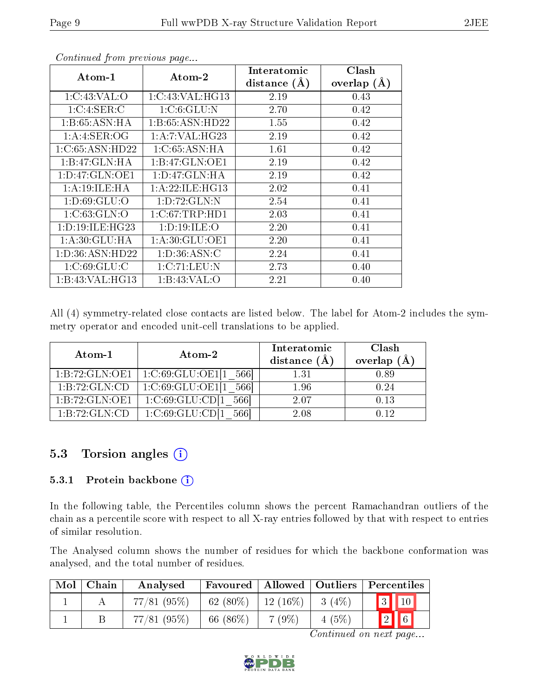| $Atom-1$            | $\boldsymbol{\mathrm{Atom}\text{-}2}$ | Interatomic    | Clash           |
|---------------------|---------------------------------------|----------------|-----------------|
|                     |                                       | distance $(A)$ | overlap $(\AA)$ |
| 1:C:43:VAL:O        | 1:C:43:VAL:HG13                       | 2.19           | 0.43            |
| 1:C:4:SER:C         | 1:C:6:GLU:N                           | 2.70           | 0.42            |
| 1: B:65: ASN:HA     | 1:B:65:ASN:HD22                       | 1.55           | 0.42            |
| 1:A:3ER:OG          | 1: A: 7: VAL:HG23                     | 2.19           | 0.42            |
| 1:C:65:ASN:HD22     | 1:C:65:ASN:HA                         | 1.61           | 0.42            |
| 1:B:47:GLN:HA       | 1:B:47:GLN:OE1                        | 2.19           | 0.42            |
| 1: D: 47: GLN: OE1  | 1: D: 47: GLN: HA                     | 2.19           | 0.42            |
| 1:A:19:ILE:HA       | 1: A:22: ILE: HG13                    | 2.02           | 0.41            |
| 1: D:69: GLU:O      | 1:D:72:GLN:N                          | 2.54           | 0.41            |
| 1:C:63:GLN:O        | $1:C:67$ : $TRP:HD1$                  | 2.03           | 0.41            |
| 1: D: 19: ILE: HG23 | 1: D: 19: ILE: O                      | 2.20           | 0.41            |
| 1: A:30: GLU:HA     | 1: A:30: GLU:OE1                      | 2.20           | 0.41            |
| 1: D: 36: ASN: HD22 | 1: D:36: ASN:C                        | 2.24           | 0.41            |
| 1:C:69:GLU:C        | 1:C:71:LEU:N                          | 2.73           | 0.40            |
| 1: B:43: VAL: HG13  | 1:B:43:VAL:O                          | 2.21           | 0.40            |

Continued from previous page...

All (4) symmetry-related close contacts are listed below. The label for Atom-2 includes the symmetry operator and encoded unit-cell translations to be applied.

| Atom-1           | $\boldsymbol{\mathrm{Atom}\text{-}2}$          | Interatomic    | Clash         |
|------------------|------------------------------------------------|----------------|---------------|
|                  |                                                | distance $(A)$ | overlap $(A)$ |
| 1:B:72:GLN:OE1   | $1:\mathrm{C}:69:\mathrm{GLU}:OE1[1]$<br>5661  | 1.31           | 0.89          |
| 1:B:72:GLN:CD    | $1:\mathrm{C}:69:\mathrm{GLU:OE1}[1]$<br>-5661 | 1.96           | 0.24          |
| 1: B:72: GLN:OE1 | 1:C:69:GLU:CD[1]<br>5661                       | 2.07           | 0.13          |
| 1:B:72:GLN:CD    | 1:C:69:GLU:CD[                                 | 2.08           |               |

### 5.3 Torsion angles (i)

#### 5.3.1 Protein backbone  $(i)$

In the following table, the Percentiles column shows the percent Ramachandran outliers of the chain as a percentile score with respect to all X-ray entries followed by that with respect to entries of similar resolution.

The Analysed column shows the number of residues for which the backbone conformation was analysed, and the total number of residues.

| Mol | Chain | Analysed   | Favoured    |            |          | Allowed   Outliers   Percentiles |
|-----|-------|------------|-------------|------------|----------|----------------------------------|
|     |       | 77/81(95%) | 62 $(80\%)$ | $12(16\%)$ | $-3(4%)$ | $\boxed{3}$ $\boxed{10}$         |
|     |       | 77/81(95%) | 66 $(86\%)$ | $7(9\%)$   | $4(5\%)$ | $\sqrt{6}$<br>$\boxed{2}$        |

Continued on next page...

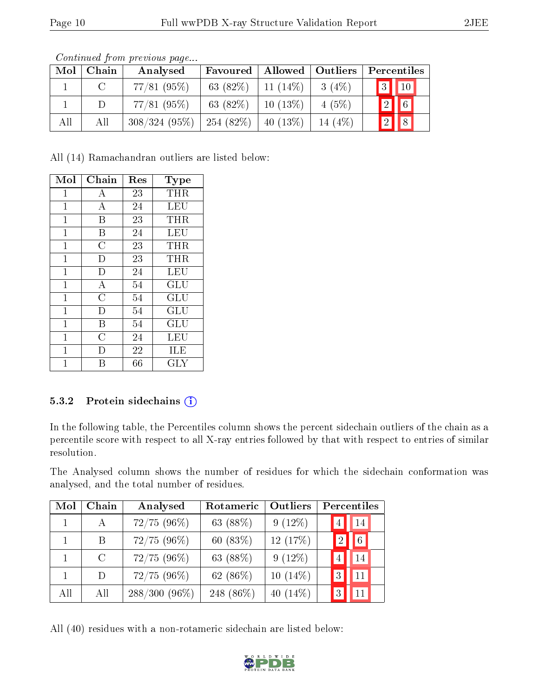| Mol | Chain | Analysed        | Favoured  | Allowed    | Outliers  |             | Percentiles              |
|-----|-------|-----------------|-----------|------------|-----------|-------------|--------------------------|
|     |       | $77/81~(95\%)$  | 63 (82\%) | $11(14\%)$ | 3(4%)     |             | $\boxed{3}$ $\boxed{10}$ |
|     | D     | $77/81$ (95%)   | 63 (82\%) | $10(13\%)$ | 4(5%)     | $\boxed{2}$ | $\sqrt{6}$               |
| All | All   | $308/324(95\%)$ | 254(82%)  | $40(13\%)$ | 14 $(4%)$ | 2           | $\sqrt{8}$               |

Continued from previous page...

All (14) Ramachandran outliers are listed below:

| Mol            | Chain              | Res | Type                 |
|----------------|--------------------|-----|----------------------|
| $\mathbf{1}$   | А                  | 23  | THR                  |
| $\mathbf{1}$   | $\boldsymbol{A}$   | 24  | LEU                  |
| $\mathbf 1$    | B                  | 23  | THR                  |
| $\overline{1}$ | В                  | 24  | LEU                  |
| $\mathbf{1}$   | $\overline{\rm C}$ | 23  | THR                  |
| $\overline{1}$ | D                  | 23  | THR                  |
| $\mathbf 1$    | D                  | 24  | LEU                  |
| $\overline{1}$ | $\bf{A}$           | 54  | GLU                  |
| $\overline{1}$ | $\overline{\rm C}$ | 54  | GLU                  |
| $\overline{1}$ | D                  | 54  | GLU                  |
| $\mathbf{1}$   | B                  | 54  | $\operatorname{GLU}$ |
| 1              | $\overline{C}$     | 24  | LEU                  |
| 1              | D                  | 22  | ILE                  |
| 1              | R                  | 66  | $\rm GLY$            |

#### 5.3.2 Protein sidechains (i)

In the following table, the Percentiles column shows the percent sidechain outliers of the chain as a percentile score with respect to all X-ray entries followed by that with respect to entries of similar resolution.

The Analysed column shows the number of residues for which the sidechain conformation was analysed, and the total number of residues.

| Mol | Chain        | Analysed        | Rotameric  | Outliers    |               | Percentiles |
|-----|--------------|-----------------|------------|-------------|---------------|-------------|
|     |              | $72/75(96\%)$   | 63 (88%)   | $9(12\%)$   |               | 14          |
|     | B            | 72/75(96%)      | 60 $(83%)$ | 12 (17%)    | 2             | 6           |
|     | C            | $72/75(96\%)$   | 63 (88%)   | $9(12\%)$   |               | 14          |
|     | $\mathbf{D}$ | $72/75(96\%)$   | 62 (86%)   | $10(14\%)$  | $\mathcal{R}$ | 11          |
| All | All          | $288/300(96\%)$ | 248 (86\%) | 40 $(14\%)$ |               | 11          |

All (40) residues with a non-rotameric sidechain are listed below:

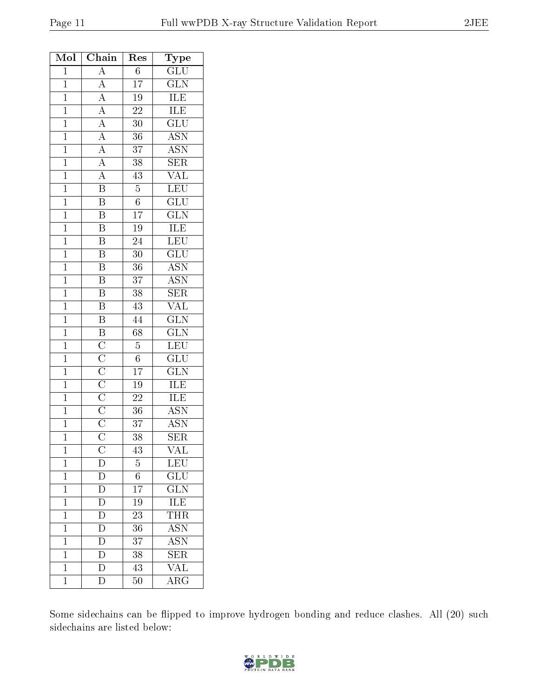| Mol            | Chain                                                                                                                                                                               | Res             | $_{\rm Type}$                                             |
|----------------|-------------------------------------------------------------------------------------------------------------------------------------------------------------------------------------|-----------------|-----------------------------------------------------------|
| $\mathbf{1}$   | $\overline{A}$                                                                                                                                                                      | $\overline{6}$  | $\overline{{\rm GLU}}$                                    |
| $\mathbf{1}$   | $\frac{\overline{A}}{\overline{A}}$ $\frac{\overline{A}}{\overline{A}}$ $\frac{\overline{A}}{\overline{A}}$ $\frac{\overline{A}}{\overline{A}}$ $\frac{\overline{A}}{\overline{B}}$ | $\overline{17}$ | $\overline{\text{GLN}}$                                   |
| $\mathbf{1}$   |                                                                                                                                                                                     | $\overline{19}$ | $\overline{\text{ILE}}$                                   |
| $\overline{1}$ |                                                                                                                                                                                     | $\overline{22}$ | <b>ILE</b>                                                |
| $\mathbf{1}$   |                                                                                                                                                                                     | $30\,$          | $\overline{{\rm GLU}}$                                    |
| $\overline{1}$ |                                                                                                                                                                                     | $\overline{36}$ | $\overline{\text{ASN}}$                                   |
| $\overline{1}$ |                                                                                                                                                                                     | 37              | <b>ASN</b>                                                |
| $\mathbf{1}$   |                                                                                                                                                                                     | $\overline{38}$ | $\overline{\text{SER}}$                                   |
| $\overline{1}$ |                                                                                                                                                                                     | 43              | $\overline{\text{VAL}}$                                   |
| $\overline{1}$ |                                                                                                                                                                                     | $\overline{5}$  | $\overline{\text{LEU}}$                                   |
| $\overline{1}$ | $\overline{\mathbf{B}}$                                                                                                                                                             | $\overline{6}$  | $\overline{\text{GLU}}$                                   |
| $\mathbf 1$    | $\overline{\mathrm{B}}$                                                                                                                                                             | $\overline{17}$ | $\overline{\text{GLN}}$                                   |
| $\mathbf{1}$   | $\overline{\mathbf{B}}$                                                                                                                                                             | $\overline{19}$ | $\frac{\overline{\textrm{ILE}}}{\overline{\textrm{LEU}}}$ |
| $\overline{1}$ | $\overline{\mathrm{B}}$                                                                                                                                                             | $\overline{24}$ |                                                           |
| $\overline{1}$ | $\overline{\mathrm{B}}$                                                                                                                                                             | $\overline{30}$ | $\overline{{\rm GLU}}$                                    |
| $\overline{1}$ | $\overline{\mathrm{B}}$                                                                                                                                                             | $\overline{36}$ | <b>ASN</b>                                                |
| $\overline{1}$ | $\overline{\mathrm{B}}$                                                                                                                                                             | $\overline{37}$ | $\frac{\overline{\mathrm{ASN}}}{\mathrm{SER}}$            |
| $\overline{1}$ | $\overline{B}$                                                                                                                                                                      | $\overline{38}$ |                                                           |
| $\overline{1}$ | $\overline{B}$                                                                                                                                                                      | 43              | <b>VAL</b>                                                |
| $\overline{1}$ | $\overline{\mathbf{B}}$                                                                                                                                                             | $\overline{44}$ | $\overline{\text{GLN}}$                                   |
| $\mathbf{1}$   | $\overline{\mathbf{B}}$                                                                                                                                                             | $\overline{68}$ | $\overline{\text{GLN}}$                                   |
| $\mathbf{1}$   |                                                                                                                                                                                     | $\overline{5}$  | LEU                                                       |
| $\overline{1}$ |                                                                                                                                                                                     | $\overline{6}$  | $\overline{{\rm GLU}}$                                    |
| $\mathbf{1}$   |                                                                                                                                                                                     | $\overline{17}$ | $\overline{\text{GLN}}$                                   |
| $\overline{1}$ |                                                                                                                                                                                     | $\overline{19}$ | $\overline{ILE}$                                          |
| $\overline{1}$ |                                                                                                                                                                                     | $\overline{22}$ | ILE                                                       |
| $\mathbf{1}$   |                                                                                                                                                                                     | 36              | <b>ASN</b>                                                |
| $\overline{1}$ | $\frac{\overline{C}}{\overline{C}}$ $\frac{\overline{C}}{\overline{C}}$ $\frac{\overline{C}}{\overline{C}}$ $\frac{\overline{C}}{\overline{C}}$                                     | 37              | <b>ASN</b>                                                |
| $\overline{1}$ |                                                                                                                                                                                     | 38              | SER                                                       |
| 1              | С                                                                                                                                                                                   | $\overline{43}$ | $\overline{\text{VAL}}$                                   |
| $\mathbf{1}$   | D                                                                                                                                                                                   | $\overline{5}$  | LEU                                                       |
| $\mathbf 1$    | D                                                                                                                                                                                   | $6\phantom{.}$  | $\widetilde{{\rm GLU}}$                                   |
| $\overline{1}$ | $\overline{D}$                                                                                                                                                                      | $\overline{17}$ | $\overline{\text{GLN}}$                                   |
| $\mathbf{1}$   | $\mathbf D$                                                                                                                                                                         | 19              | $\frac{\overline{\textrm{ILE}}}{\textrm{THR}}$            |
| $\overline{1}$ | $\overline{\text{D}}$                                                                                                                                                               | $\overline{23}$ |                                                           |
| $\mathbf 1$    | D                                                                                                                                                                                   | 36              | <b>ASN</b>                                                |
| $\mathbf 1$    | $\mathbf{D}$                                                                                                                                                                        | 37              | $\overline{\mathrm{ASN}}$                                 |
| $\mathbf{1}$   | $\overline{\rm D}$                                                                                                                                                                  | 38              | SER                                                       |
| $\overline{1}$ | $\overline{\rm D}$                                                                                                                                                                  | 43              | $\overline{\text{VAL}}$                                   |
| $\mathbf{1}$   | $\overline{\rm D}$                                                                                                                                                                  | $\overline{5}0$ | $\overline{\rm{ARG}}$                                     |
|                |                                                                                                                                                                                     |                 |                                                           |

Some sidechains can be flipped to improve hydrogen bonding and reduce clashes. All (20) such sidechains are listed below:

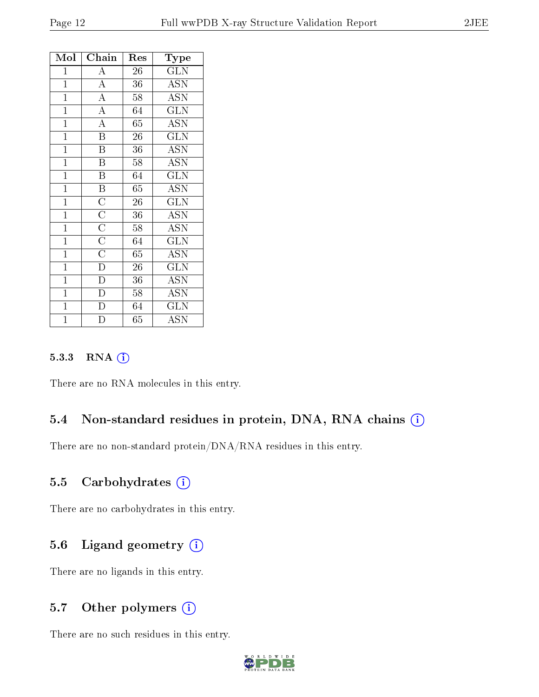| Mol            | Chain                                                                                                       | Res | Type                      |
|----------------|-------------------------------------------------------------------------------------------------------------|-----|---------------------------|
| $\mathbf{1}$   | A                                                                                                           | 26  | <b>GLN</b>                |
| $\overline{1}$ | $\overline{A}$                                                                                              | 36  | ASN                       |
| $\mathbf{1}$   | $\overline{A}$                                                                                              | 58  | <b>ASN</b>                |
| $\overline{1}$ | $\overline{A}$                                                                                              | 64  | $\overline{\text{GLN}}$   |
| $\mathbf{1}$   | $\overline{A}$                                                                                              | 65  | $\overline{\text{ASN}}$   |
| $\overline{1}$ | $\overline{\mathbf{B}}$                                                                                     | 26  | $\widehat{{\rm GLN}}$     |
| $\mathbf{1}$   | $\overline{\mathbf{B}}$                                                                                     | 36  | <b>ASN</b>                |
| $\mathbf{1}$   | $\overline{\mathrm{B}}$                                                                                     | 58  | <b>ASN</b>                |
| $\overline{1}$ | $\overline{B}$                                                                                              | 64  | $\overline{\text{GLN}}$   |
| $\mathbf{1}$   | $\overline{\mathbf{B}}$                                                                                     | 65  | <b>ASN</b>                |
| $\overline{1}$ |                                                                                                             | 26  | $\overline{\text{GLN}}$   |
| $\mathbf{1}$   | $\frac{\overline{C}}{\overline{C}}$ $\frac{\overline{C}}{\overline{C}}$ $\frac{\overline{C}}{\overline{D}}$ | 36  | <b>ASN</b>                |
| $\overline{1}$ |                                                                                                             | 58  | ASN                       |
| $\mathbf{1}$   |                                                                                                             | 64  | $\overline{\text{GLN}}$   |
| $\mathbf{1}$   |                                                                                                             | 65  | <b>ASN</b>                |
| $\overline{1}$ |                                                                                                             | 26  | <b>GLN</b>                |
| $\mathbf{1}$   | $\frac{\overline{D}}{D}$                                                                                    | 36  | $\operatorname{ASN}$      |
| $\overline{1}$ |                                                                                                             | 58  | $\overline{\mathrm{ASN}}$ |
| $\mathbf{1}$   | $\overline{\rm D}$                                                                                          | 64  | GLN                       |
| $\overline{1}$ | $\overline{D}$                                                                                              | 65  | <b>ASN</b>                |

#### 5.3.3 RNA [O](https://www.wwpdb.org/validation/2017/XrayValidationReportHelp#rna)i

There are no RNA molecules in this entry.

### 5.4 Non-standard residues in protein, DNA, RNA chains (i)

There are no non-standard protein/DNA/RNA residues in this entry.

#### 5.5 Carbohydrates  $(i)$

There are no carbohydrates in this entry.

### 5.6 Ligand geometry (i)

There are no ligands in this entry.

### 5.7 [O](https://www.wwpdb.org/validation/2017/XrayValidationReportHelp#nonstandard_residues_and_ligands)ther polymers (i)

There are no such residues in this entry.

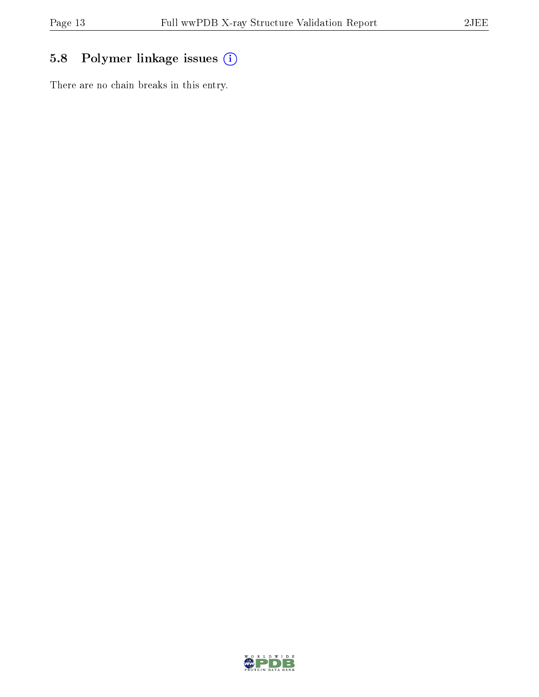# 5.8 Polymer linkage issues (i)

There are no chain breaks in this entry.

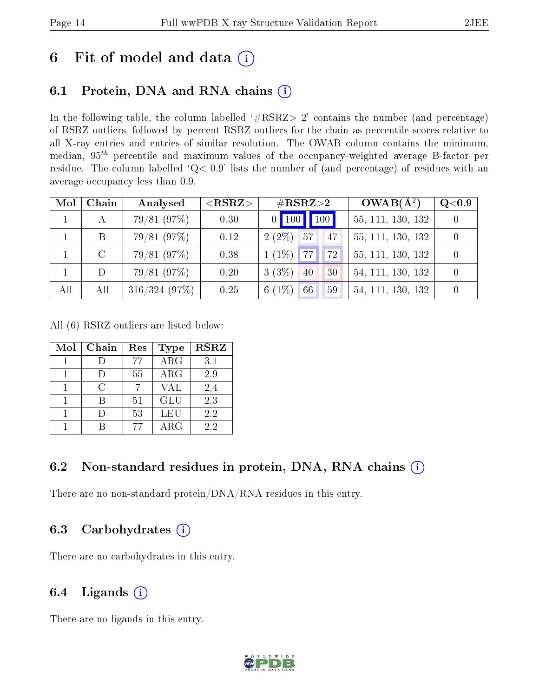# 6 Fit of model and data  $(i)$

### 6.1 Protein, DNA and RNA chains  $(i)$

In the following table, the column labelled  $#RSRZ> 2'$  contains the number (and percentage) of RSRZ outliers, followed by percent RSRZ outliers for the chain as percentile scores relative to all X-ray entries and entries of similar resolution. The OWAB column contains the minimum, median,  $95<sup>th</sup>$  percentile and maximum values of the occupancy-weighted average B-factor per residue. The column labelled ' $Q< 0.9$ ' lists the number of (and percentage) of residues with an average occupancy less than 0.9.

| Mol | Chain   | Analysed     | ${ <\hspace{-1.5pt}{\mathrm{RSRZ}} \hspace{-1.5pt}>}$ | $\#\text{RSRZ}{>}2$   | $OWAB(A^2)$       | $\bf Q\texttt{<}0.9$ |
|-----|---------|--------------|-------------------------------------------------------|-----------------------|-------------------|----------------------|
|     |         | 79/81(97%)   | 0.30                                                  | 100<br>$0$   100      | 55, 111, 130, 132 |                      |
|     | B       | 79/81(97%)   | 0.12                                                  | $2(2\%)$ 57<br>47     | 55, 111, 130, 132 |                      |
|     | $\rm C$ | 79/81(97%)   | 0.38                                                  | $1(1\%)$ 77<br>72     | 55, 111, 130, 132 |                      |
|     |         | 79/81(97%)   | 0.20                                                  | $3(3\%)$<br> 40<br>30 | 54, 111, 130, 132 |                      |
| All | All     | 316/324(97%) | 0.25                                                  | 6 $(1\%)$<br>66<br>59 | 54, 111, 130, 132 |                      |

All (6) RSRZ outliers are listed below:

| Mol | Chain  | Res | <b>Type</b> | <b>RSRZ</b> |
|-----|--------|-----|-------------|-------------|
|     |        | 77  | ARG         | 3.1         |
|     |        | 55  | $\rm{ARG}$  | 2.9         |
|     | $\cap$ |     | VAL         | 2.4         |
|     |        | 51  | <b>GLU</b>  | 2.3         |
|     |        | 53  | LEU         | 2.2         |
|     |        | 77  | $\rm{ARG}$  | 2.2         |

### 6.2 Non-standard residues in protein, DNA, RNA chains (i)

There are no non-standard protein/DNA/RNA residues in this entry.

### 6.3 Carbohydrates (i)

There are no carbohydrates in this entry.

### 6.4 Ligands  $(i)$

There are no ligands in this entry.